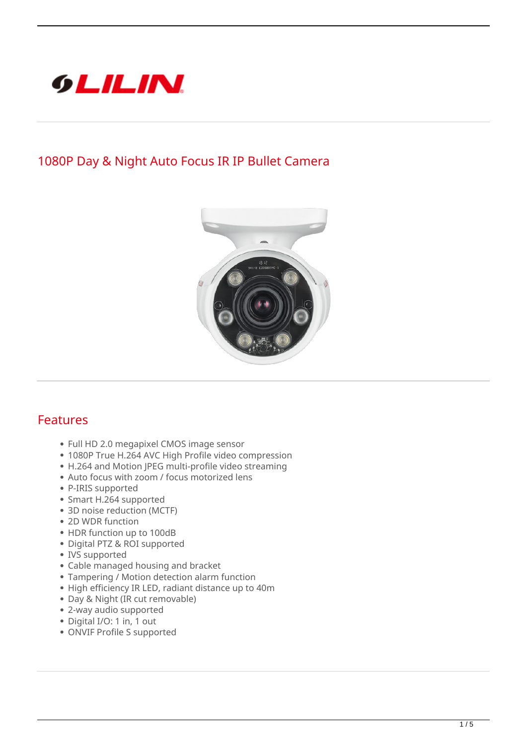

## **1080P Day & Night Auto Focus IR IP Bullet Camera**



## **Features**

- Full HD 2.0 megapixel CMOS image sensor
- 1080P True H.264 AVC High Profile video compression
- H.264 and Motion JPEG multi-profile video streaming
- Auto focus with zoom / focus motorized lens
- P-IRIS supported
- Smart H.264 supported
- 3D noise reduction (MCTF)
- 2D WDR function
- HDR function up to 100dB
- Digital PTZ & ROI supported
- IVS supported
- Cable managed housing and bracket
- Tampering / Motion detection alarm function
- High efficiency IR LED, radiant distance up to 40m
- Day & Night (IR cut removable)
- 2-way audio supported
- Digital I/O: 1 in, 1 out
- ONVIF Profile S supported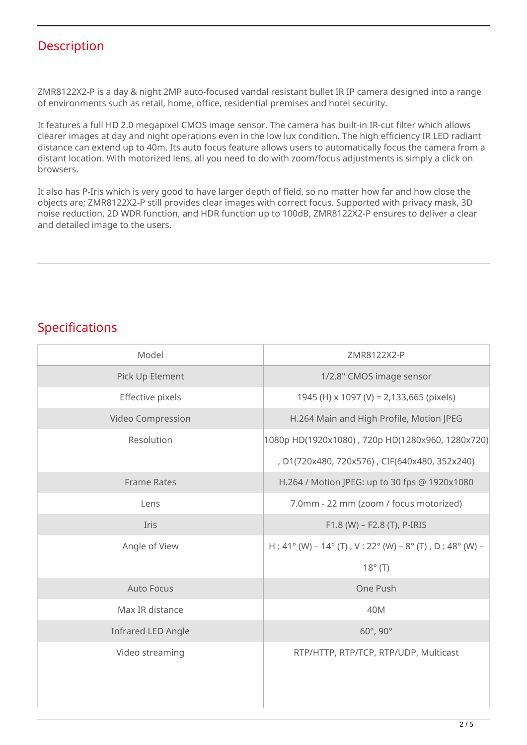## **Description**

ZMR8122X2-P is a day & night 2MP auto-focused vandal resistant bullet IR IP camera designed into a range of environments such as retail, home, office, residential premises and hotel security.

It features a full HD 2.0 megapixel CMOS image sensor. The camera has built-in IR-cut filter which allows clearer images at day and night operations even in the low lux condition. The high efficiency IR LED radiant distance can extend up to 40m. Its auto focus feature allows users to automatically focus the camera from a distant location. With motorized lens, all you need to do with zoom/focus adjustments is simply a click on browsers.

It also has P-Iris which is very good to have larger depth of field, so no matter how far and how close the objects are; ZMR8122X2-P still provides clear images with correct focus. Supported with privacy mask, 3D noise reduction, 2D WDR function, and HDR function up to 100dB, ZMR8122X2-P ensures to deliver a clear and detailed image to the users.

## **Specifications**

| Model                     | ZMR8122X2-P                                             |
|---------------------------|---------------------------------------------------------|
| Pick Up Element           | 1/2.8" CMOS image sensor                                |
| Effective pixels          | 1945 (H) x 1097 (V) = 2,133,665 (pixels)                |
| Video Compression         | H.264 Main and High Profile, Motion JPEG                |
| Resolution                | 1080p HD(1920x1080), 720p HD(1280x960, 1280x720)        |
|                           | , D1(720x480, 720x576), CIF(640x480, 352x240)           |
| <b>Frame Rates</b>        | H.264 / Motion JPEG: up to 30 fps @ 1920x1080           |
| Lens                      | 7.0mm - 22 mm (zoom / focus motorized)                  |
| Iris                      | $F1.8$ (W) – F2.8 (T), P-IRIS                           |
| Angle of View             | H: 41° (W) – 14° (T), V: 22° (W) – 8° (T), D: 48° (W) – |
|                           | $18^\circ$ (T)                                          |
| <b>Auto Focus</b>         | One Push                                                |
| Max IR distance           | 40M                                                     |
| <b>Infrared LED Angle</b> | $60^\circ, 90^\circ$                                    |
| Video streaming           | RTP/HTTP, RTP/TCP, RTP/UDP, Multicast                   |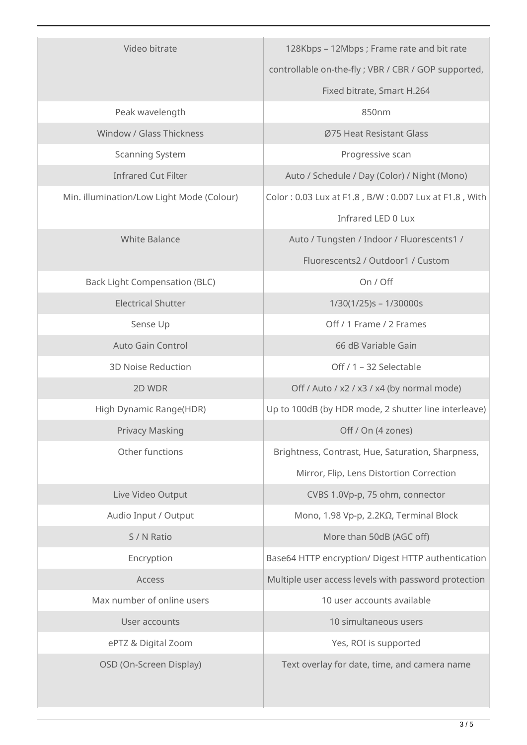| Video bitrate                             | 128Kbps - 12Mbps ; Frame rate and bit rate            |
|-------------------------------------------|-------------------------------------------------------|
|                                           | controllable on-the-fly; VBR / CBR / GOP supported,   |
|                                           | Fixed bitrate, Smart H.264                            |
| Peak wavelength                           | 850nm                                                 |
| Window / Glass Thickness                  | Ø75 Heat Resistant Glass                              |
| Scanning System                           | Progressive scan                                      |
| <b>Infrared Cut Filter</b>                | Auto / Schedule / Day (Color) / Night (Mono)          |
| Min. illumination/Low Light Mode (Colour) | Color: 0.03 Lux at F1.8, B/W: 0.007 Lux at F1.8, With |
|                                           | Infrared LED 0 Lux                                    |
|                                           |                                                       |
| <b>White Balance</b>                      | Auto / Tungsten / Indoor / Fluorescents1 /            |
|                                           | Fluorescents2 / Outdoor1 / Custom                     |
| <b>Back Light Compensation (BLC)</b>      | On / Off                                              |
| <b>Electrical Shutter</b>                 | $1/30(1/25)s - 1/30000s$                              |
| Sense Up                                  | Off / 1 Frame / 2 Frames                              |
| <b>Auto Gain Control</b>                  | 66 dB Variable Gain                                   |
| <b>3D Noise Reduction</b>                 | Off / 1 - 32 Selectable                               |
| 2D WDR                                    | Off / Auto / x2 / x3 / x4 (by normal mode)            |
| High Dynamic Range(HDR)                   | Up to 100dB (by HDR mode, 2 shutter line interleave)  |
| <b>Privacy Masking</b>                    | Off / On (4 zones)                                    |
| Other functions                           | Brightness, Contrast, Hue, Saturation, Sharpness,     |
|                                           | Mirror, Flip, Lens Distortion Correction              |
| Live Video Output                         | CVBS 1.0Vp-p, 75 ohm, connector                       |
| Audio Input / Output                      | Mono, 1.98 Vp-p, 2.2ΚΩ, Terminal Block                |
| S / N Ratio                               | More than 50dB (AGC off)                              |
| Encryption                                | Base64 HTTP encryption/ Digest HTTP authentication    |
| Access                                    | Multiple user access levels with password protection  |
| Max number of online users                | 10 user accounts available                            |
| User accounts                             | 10 simultaneous users                                 |
| ePTZ & Digital Zoom                       | Yes, ROI is supported                                 |
| OSD (On-Screen Display)                   | Text overlay for date, time, and camera name          |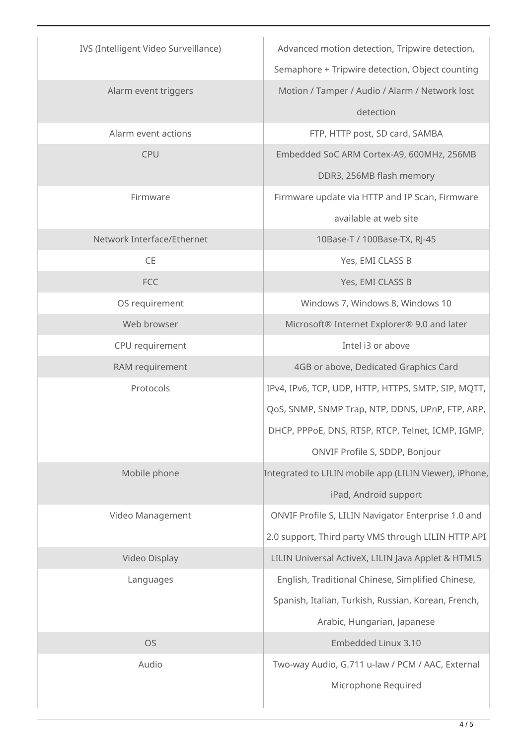| IVS (Intelligent Video Surveillance) | Advanced motion detection, Tripwire detection,         |
|--------------------------------------|--------------------------------------------------------|
|                                      | Semaphore + Tripwire detection, Object counting        |
| Alarm event triggers                 | Motion / Tamper / Audio / Alarm / Network lost         |
|                                      | detection                                              |
| Alarm event actions                  | FTP, HTTP post, SD card, SAMBA                         |
| <b>CPU</b>                           | Embedded SoC ARM Cortex-A9, 600MHz, 256MB              |
|                                      | DDR3, 256MB flash memory                               |
| Firmware                             | Firmware update via HTTP and IP Scan, Firmware         |
|                                      | available at web site                                  |
| Network Interface/Ethernet           | 10Base-T / 100Base-TX, RJ-45                           |
| CE                                   | Yes, EMI CLASS B                                       |
| <b>FCC</b>                           | Yes, EMI CLASS B                                       |
| OS requirement                       | Windows 7, Windows 8, Windows 10                       |
| Web browser                          | Microsoft® Internet Explorer® 9.0 and later            |
| CPU requirement                      | Intel i3 or above                                      |
| RAM requirement                      | 4GB or above, Dedicated Graphics Card                  |
| Protocols                            | IPv4, IPv6, TCP, UDP, HTTP, HTTPS, SMTP, SIP, MQTT,    |
|                                      | QoS, SNMP, SNMP Trap, NTP, DDNS, UPnP, FTP, ARP,       |
|                                      | DHCP, PPPoE, DNS, RTSP, RTCP, Telnet, ICMP, IGMP,      |
|                                      | ONVIF Profile S, SDDP, Bonjour                         |
| Mobile phone                         | Integrated to LILIN mobile app (LILIN Viewer), iPhone, |
|                                      | iPad, Android support                                  |
| Video Management                     | ONVIF Profile S, LILIN Navigator Enterprise 1.0 and    |
|                                      | 2.0 support, Third party VMS through LILIN HTTP API    |
| Video Display                        | LILIN Universal ActiveX, LILIN Java Applet & HTML5     |
| Languages                            | English, Traditional Chinese, Simplified Chinese,      |
|                                      | Spanish, Italian, Turkish, Russian, Korean, French,    |
|                                      | Arabic, Hungarian, Japanese                            |
| <b>OS</b>                            | Embedded Linux 3.10                                    |
| Audio                                | Two-way Audio, G.711 u-law / PCM / AAC, External       |
|                                      | Microphone Required                                    |
|                                      |                                                        |